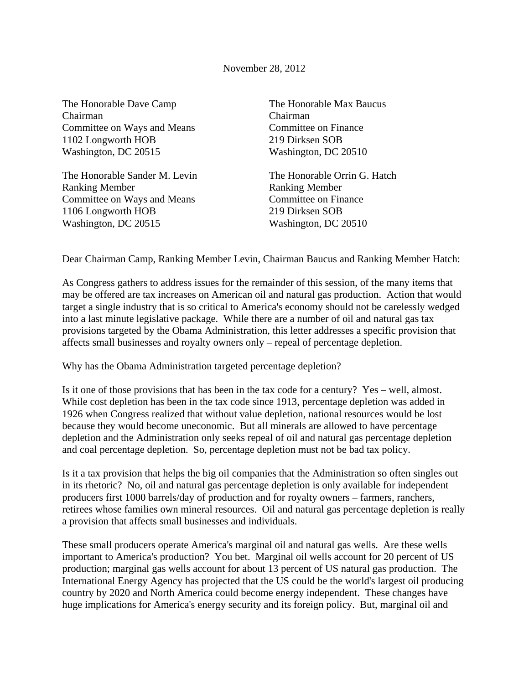November 28, 2012

The Honorable Dave Camp Chairman Committee on Ways and Means 1102 Longworth HOB Washington, DC 20515

The Honorable Sander M. Levin Ranking Member Committee on Ways and Means 1106 Longworth HOB Washington, DC 20515

The Honorable Max Baucus Chairman Committee on Finance 219 Dirksen SOB Washington, DC 20510

The Honorable Orrin G. Hatch Ranking Member Committee on Finance 219 Dirksen SOB Washington, DC 20510

Dear Chairman Camp, Ranking Member Levin, Chairman Baucus and Ranking Member Hatch:

As Congress gathers to address issues for the remainder of this session, of the many items that may be offered are tax increases on American oil and natural gas production. Action that would target a single industry that is so critical to America's economy should not be carelessly wedged into a last minute legislative package. While there are a number of oil and natural gas tax provisions targeted by the Obama Administration, this letter addresses a specific provision that affects small businesses and royalty owners only – repeal of percentage depletion.

Why has the Obama Administration targeted percentage depletion?

Is it one of those provisions that has been in the tax code for a century? Yes – well, almost. While cost depletion has been in the tax code since 1913, percentage depletion was added in 1926 when Congress realized that without value depletion, national resources would be lost because they would become uneconomic. But all minerals are allowed to have percentage depletion and the Administration only seeks repeal of oil and natural gas percentage depletion and coal percentage depletion. So, percentage depletion must not be bad tax policy.

Is it a tax provision that helps the big oil companies that the Administration so often singles out in its rhetoric? No, oil and natural gas percentage depletion is only available for independent producers first 1000 barrels/day of production and for royalty owners – farmers, ranchers, retirees whose families own mineral resources. Oil and natural gas percentage depletion is really a provision that affects small businesses and individuals.

These small producers operate America's marginal oil and natural gas wells. Are these wells important to America's production? You bet. Marginal oil wells account for 20 percent of US production; marginal gas wells account for about 13 percent of US natural gas production. The International Energy Agency has projected that the US could be the world's largest oil producing country by 2020 and North America could become energy independent. These changes have huge implications for America's energy security and its foreign policy. But, marginal oil and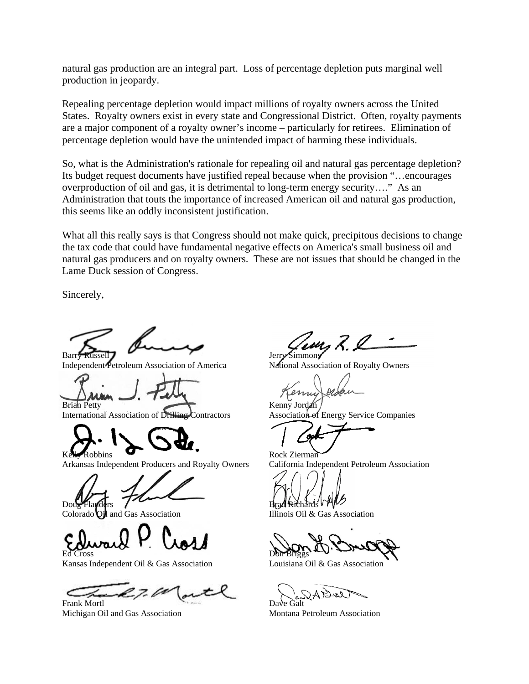natural gas production are an integral part. Loss of percentage depletion puts marginal well production in jeopardy.

Repealing percentage depletion would impact millions of royalty owners across the United States. Royalty owners exist in every state and Congressional District. Often, royalty payments are a major component of a royalty owner's income – particularly for retirees. Elimination of percentage depletion would have the unintended impact of harming these individuals.

So, what is the Administration's rationale for repealing oil and natural gas percentage depletion? Its budget request documents have justified repeal because when the provision "…encourages overproduction of oil and gas, it is detrimental to long-term energy security…." As an Administration that touts the importance of increased American oil and natural gas production, this seems like an oddly inconsistent justification.

What all this really says is that Congress should not make quick, precipitous decisions to change the tax code that could have fundamental negative effects on America's small business oil and natural gas producers and on royalty owners. These are not issues that should be changed in the Lame Duck session of Congress.

Sincerely,

**Barry** 

Independent Petroleum Association of America

Brian Petty

International Association of Drilling Contractors

Robbins

Arkansas Independent Producers and Royalty Owners

Doug Flanders

Colorado Oil and Gas Association

Ed Cross

Kansas Independent Oil & Gas Association

Frank Mortl Michigan Oil and Gas Association

Jerry Simmons

National Association of Royalty Owners

Kenny Jordan Association of Energy Service Companies

Rock Zierman California Independent Petroleum Association

Brad Richards

Illinois Oil & Gas Association

Don Briggs

Louisiana Oil & Gas Association

 $204$ Dave Galt

Montana Petroleum Association